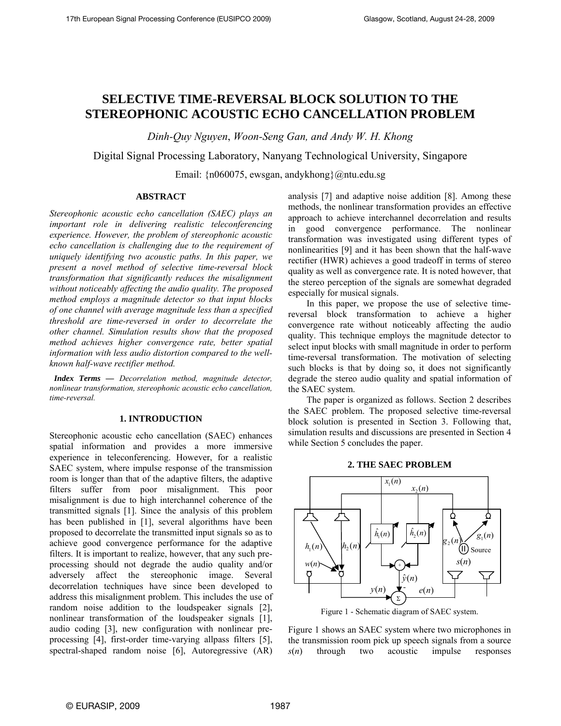# **SELECTIVE TIME-REVERSAL BLOCK SOLUTION TO THE STEREOPHONIC ACOUSTIC ECHO CANCELLATION PROBLEM**

*Dinh-Quy Nguyen*, *Woon-Seng Gan, and Andy W. H. Khong*

Digital Signal Processing Laboratory, Nanyang Technological University, Singapore

Email: {n060075, ewsgan, andykhong}@ntu.edu.sg

# **ABSTRACT**

*Stereophonic acoustic echo cancellation (SAEC) plays an important role in delivering realistic teleconferencing experience. However, the problem of stereophonic acoustic echo cancellation is challenging due to the requirement of uniquely identifying two acoustic paths. In this paper, we present a novel method of selective time-reversal block transformation that significantly reduces the misalignment without noticeably affecting the audio quality. The proposed method employs a magnitude detector so that input blocks of one channel with average magnitude less than a specified threshold are time-reversed in order to decorrelate the other channel. Simulation results show that the proposed method achieves higher convergence rate, better spatial information with less audio distortion compared to the wellknown half-wave rectifier method.* 

 *Index Terms — Decorrelation method, magnitude detector, nonlinear transformation, stereophonic acoustic echo cancellation, time-reversal.*

# **1. INTRODUCTION**

Stereophonic acoustic echo cancellation (SAEC) enhances spatial information and provides a more immersive experience in teleconferencing. However, for a realistic SAEC system, where impulse response of the transmission room is longer than that of the adaptive filters, the adaptive filters suffer from poor misalignment. This poor misalignment is due to high interchannel coherence of the transmitted signals [1]. Since the analysis of this problem has been published in [1], several algorithms have been proposed to decorrelate the transmitted input signals so as to achieve good convergence performance for the adaptive filters. It is important to realize, however, that any such preprocessing should not degrade the audio quality and/or adversely affect the stereophonic image. Several decorrelation techniques have since been developed to address this misalignment problem. This includes the use of random noise addition to the loudspeaker signals [2], nonlinear transformation of the loudspeaker signals [1], audio coding [3], new configuration with nonlinear preprocessing [4], first-order time-varying allpass filters [5], spectral-shaped random noise [6], Autoregressive (AR)

analysis [7] and adaptive noise addition [8]. Among these methods, the nonlinear transformation provides an effective approach to achieve interchannel decorrelation and results in good convergence performance. The nonlinear transformation was investigated using different types of nonlinearities [9] and it has been shown that the half-wave rectifier (HWR) achieves a good tradeoff in terms of stereo quality as well as convergence rate. It is noted however, that the stereo perception of the signals are somewhat degraded especially for musical signals.

 In this paper, we propose the use of selective timereversal block transformation to achieve a higher convergence rate without noticeably affecting the audio quality. This technique employs the magnitude detector to select input blocks with small magnitude in order to perform time-reversal transformation. The motivation of selecting such blocks is that by doing so, it does not significantly degrade the stereo audio quality and spatial information of the SAEC system.

 The paper is organized as follows. Section 2 describes the SAEC problem. The proposed selective time-reversal block solution is presented in Section 3. Following that, simulation results and discussions are presented in Section 4 while Section 5 concludes the paper.





Figure 1 - Schematic diagram of SAEC system.

Figure 1 shows an SAEC system where two microphones in the transmission room pick up speech signals from a source *s*(*n*) through two acoustic impulse responses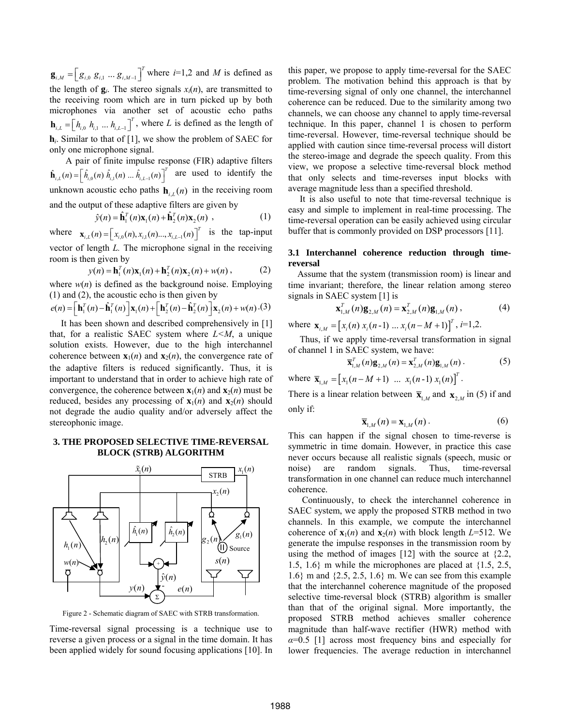$\mathbf{g}_{i,M} = \left[g_{i,0} \ g_{i,1} \dots g_{i,M-1}\right]^T$  where *i*=1,2 and *M* is defined as the length of  $g_i$ . The stereo signals  $x_i(n)$ , are transmitted to the receiving room which are in turn picked up by both microphones via another set of acoustic echo paths  $\mathbf{h}_{i,L} = \left[ h_{i,0} \ h_{i,1} \dots h_{i,L-1} \right]^T$ , where *L* is defined as the length of **h***i*. Similar to that of [1], we show the problem of SAEC for only one microphone signal.

 A pair of finite impulse response (FIR) adaptive filters  $\hat{\mathbf{h}}_{i,L}(n) = \left[\hat{h}_{i,0}(n) \hat{h}_{i,1}(n) \dots \hat{h}_{i,L-1}(n)\right]^T$  are used to identify the unknown acoustic echo paths  $h_{i,L}(n)$  in the receiving room and the output of these adaptive filters are given by

$$
\hat{y}(n) = \hat{\mathbf{h}}_1^T(n)\mathbf{x}_1(n) + \hat{\mathbf{h}}_2^T(n)\mathbf{x}_2(n) ,
$$
 (1)

where  $\mathbf{x}_{i,L}(n) = \begin{bmatrix} x_{i,0}(n), x_{i,1}(n), \dots, x_{i,L-1}(n) \end{bmatrix}^T$  is the tap-input vector of length *L.* The microphone signal in the receiving room is then given by

$$
y(n) = \mathbf{h}_1^T(n)\mathbf{x}_1(n) + \mathbf{h}_2^T(n)\mathbf{x}_2(n) + w(n),
$$
 (2)

where  $w(n)$  is defined as the background noise. Employing (1) and (2), the acoustic echo is then given by

$$
e(n) = \left[\mathbf{h}_1^T(n) - \hat{\mathbf{h}}_1^T(n)\right]\mathbf{x}_1(n) + \left[\mathbf{h}_2^T(n) - \hat{\mathbf{h}}_2^T(n)\right]\mathbf{x}_2(n) + w(n) \cdot (3)
$$

 It has been shown and described comprehensively in [1] that, for a realistic SAEC system where *L<M*, a unique solution exists. However, due to the high interchannel coherence between  $\mathbf{x}_1(n)$  and  $\mathbf{x}_2(n)$ , the convergence rate of the adaptive filters is reduced significantly. Thus, it is important to understand that in order to achieve high rate of convergence, the coherence between  $\mathbf{x}_1(n)$  and  $\mathbf{x}_2(n)$  must be reduced, besides any processing of  $\mathbf{x}_1(n)$  and  $\mathbf{x}_2(n)$  should not degrade the audio quality and/or adversely affect the stereophonic image.

## **3. THE PROPOSED SELECTIVE TIME-REVERSAL BLOCK (STRB) ALGORITHM**



Figure 2 - Schematic diagram of SAEC with STRB transformation.

Time-reversal signal processing is a technique use to reverse a given process or a signal in the time domain. It has been applied widely for sound focusing applications [10]. In this paper, we propose to apply time-reversal for the SAEC problem. The motivation behind this approach is that by time-reversing signal of only one channel, the interchannel coherence can be reduced. Due to the similarity among two channels, we can choose any channel to apply time-reversal technique. In this paper, channel 1 is chosen to perform time-reversal. However, time-reversal technique should be applied with caution since time-reversal process will distort the stereo-image and degrade the speech quality. From this view, we propose a selective time-reversal block method that only selects and time-reverses input blocks with average magnitude less than a specified threshold.

 It is also useful to note that time-reversal technique is easy and simple to implement in real-time processing. The time-reversal operation can be easily achieved using circular buffer that is commonly provided on DSP processors [11].

# **3.1 Interchannel coherence reduction through timereversal**

 Assume that the system (transmission room) is linear and time invariant; therefore, the linear relation among stereo signals in SAEC system [1] is

$$
\mathbf{x}_{1,M}^{T}(n)\mathbf{g}_{2,M}(n) = \mathbf{x}_{2,M}^{T}(n)\mathbf{g}_{1,M}(n), \qquad (4)
$$

where  $\mathbf{x}_{i,M} = [x_i(n) x_i(n-1) ... x_i(n-M+1)]^T$ ,  $i=1,2$ .

 Thus, if we apply time-reversal transformation in signal of channel 1 in SAEC system, we have:

$$
\overline{\mathbf{x}}_{1,M}^{T}(n)\mathbf{g}_{2,M}(n) = \mathbf{x}_{2,M}^{T}(n)\mathbf{g}_{1,M}(n).
$$
 (5)

where  $\overline{\mathbf{x}}_{1,M} = [x_1(n-M+1) \dots x_1(n-1) x_1(n)]^T$ .

There is a linear relation between  $\overline{\mathbf{x}}_{1,M}$  and  $\mathbf{x}_{2,M}$  in (5) if and only if:

$$
\overline{\mathbf{x}}_{1,M}(n) = \mathbf{x}_{1,M}(n) \,. \tag{6}
$$

This can happen if the signal chosen to time-reverse is symmetric in time domain. However, in practice this case never occurs because all realistic signals (speech, music or noise) are random signals. Thus, time-reversal transformation in one channel can reduce much interchannel coherence.

 Continuously, to check the interchannel coherence in SAEC system, we apply the proposed STRB method in two channels. In this example, we compute the interchannel coherence of  $\mathbf{x}_1(n)$  and  $\mathbf{x}_2(n)$  with block length  $L=512$ . We generate the impulse responses in the transmission room by using the method of images [12] with the source at {2.2, 1.5, 1.6} m while the microphones are placed at {1.5, 2.5, 1.6} m and {2.5, 2.5, 1.6} m. We can see from this example that the interchannel coherence magnitude of the proposed selective time-reversal block (STRB) algorithm is smaller than that of the original signal. More importantly, the proposed STRB method achieves smaller coherence magnitude than half-wave rectifier (HWR) method with  $\alpha$ =0.5 [1] across most frequency bins and especially for lower frequencies. The average reduction in interchannel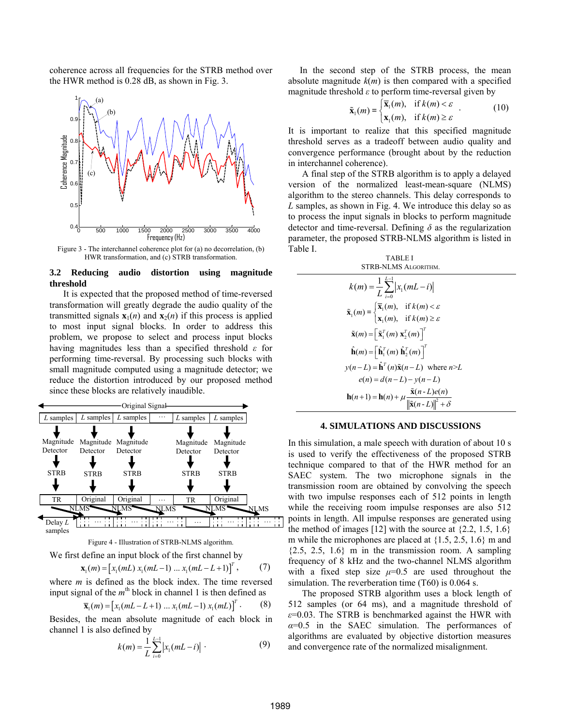coherence across all frequencies for the STRB method over the HWR method is 0.28 dB, as shown in Fig. 3.



Figure 3 - The interchannel coherence plot for (a) no decorrelation, (b) HWR transformation, and (c) STRB transformation.

## **3.2 Reducing audio distortion using magnitude threshold**

 It is expected that the proposed method of time-reversed transformation will greatly degrade the audio quality of the transmitted signals  $\mathbf{x}_1(n)$  and  $\mathbf{x}_2(n)$  if this process is applied to most input signal blocks. In order to address this problem, we propose to select and process input blocks having magnitudes less than a specified threshold *ε* for performing time-reversal. By processing such blocks with small magnitude computed using a magnitude detector; we reduce the distortion introduced by our proposed method since these blocks are relatively inaudible.



Figure 4 - Illustration of STRB-NLMS algorithm.

We first define an input block of the first channel by

$$
\mathbf{x}_{1}(m) = \left[x_{1}(mL) x_{1}(mL-1) \dots x_{1}(mL-L+1)\right]^{T}, \quad (7)
$$

where *m* is defined as the block index. The time reversed input signal of the  $m<sup>th</sup>$  block in channel 1 is then defined as

$$
\overline{\mathbf{x}}_1(m) = [x_1(mL - L + 1) \dots x_1(mL - 1) x_1(mL)]^T. \tag{8}
$$

Besides, the mean absolute magnitude of each block in channel 1 is also defined by

$$
k(m) = \frac{1}{L} \sum_{i=0}^{L-1} |x_i(mL - i)| \qquad (9)
$$

 In the second step of the STRB process, the mean absolute magnitude  $k(m)$  is then compared with a specified magnitude threshold  $\varepsilon$  to perform time-reversal given by

$$
\tilde{\mathbf{x}}_1(m) = \begin{cases} \overline{\mathbf{x}}_1(m), & \text{if } k(m) < \varepsilon \\ \mathbf{x}_1(m), & \text{if } k(m) \ge \varepsilon \end{cases} \tag{10}
$$

It is important to realize that this specified magnitude threshold serves as a tradeoff between audio quality and convergence performance (brought about by the reduction in interchannel coherence).

 A final step of the STRB algorithm is to apply a delayed version of the normalized least-mean-square (NLMS) algorithm to the stereo channels. This delay corresponds to *L* samples, as shown in Fig. 4. We introduce this delay so as to process the input signals in blocks to perform magnitude detector and time-reversal. Defining *δ* as the regularization parameter, the proposed STRB-NLMS algorithm is listed in Table I.

| TABLE I<br>STRB-NLMS ALGORITHM.                                                                                                                                       |  |  |  |  |
|-----------------------------------------------------------------------------------------------------------------------------------------------------------------------|--|--|--|--|
| $k(m) = \frac{1}{L} \sum_{i=0}^{L-1}  x_i(mL - i) $                                                                                                                   |  |  |  |  |
| $\tilde{\mathbf{x}}_1(m) = \begin{cases} \overline{\mathbf{x}}_1(m), & \text{if } k(m) < \varepsilon \\ \mathbf{x}_1(m), & \text{if } k(m) > \varepsilon \end{cases}$ |  |  |  |  |
|                                                                                                                                                                       |  |  |  |  |
| $\tilde{\mathbf{x}}(m) = \left[ \tilde{\mathbf{x}}_1^T(m) \mathbf{x}_2^T(m) \right]^T$                                                                                |  |  |  |  |
| $\hat{\mathbf{h}}(m) = \left[ \hat{\mathbf{h}}_1^T(m) \hat{\mathbf{h}}_2^T(m) \right]^T$                                                                              |  |  |  |  |
| $y(n-L) = \hat{\mathbf{h}}^{T}(n)\tilde{\mathbf{x}}(n-L)$ where $n>L$                                                                                                 |  |  |  |  |
| $e(n) = d(n-L) - v(n-L)$                                                                                                                                              |  |  |  |  |
| $\mathbf{h}(n+1) = \mathbf{h}(n) + \mu \frac{\tilde{\mathbf{x}}(n-L)e(n)}{\ \tilde{\mathbf{x}}(n-L)\ ^2 + \delta}$                                                    |  |  |  |  |

#### **4. SIMULATIONS AND DISCUSSIONS**

In this simulation, a male speech with duration of about 10 s is used to verify the effectiveness of the proposed STRB technique compared to that of the HWR method for an SAEC system. The two microphone signals in the transmission room are obtained by convolving the speech with two impulse responses each of 512 points in length while the receiving room impulse responses are also 512 points in length. All impulse responses are generated using the method of images  $[12]$  with the source at  $\{2.2, 1.5, 1.6\}$ m while the microphones are placed at {1.5, 2.5, 1.6} m and  ${2.5, 2.5, 1.6}$  m in the transmission room. A sampling frequency of 8 kHz and the two-channel NLMS algorithm with a fixed step size  $\mu=0.5$  are used throughout the simulation. The reverberation time (T60) is 0.064 s.

 The proposed STRB algorithm uses a block length of 512 samples (or 64 ms), and a magnitude threshold of *ε*=0.03. The STRB is benchmarked against the HWR with *α*=0.5 in the SAEC simulation. The performances of algorithms are evaluated by objective distortion measures and convergence rate of the normalized misalignment.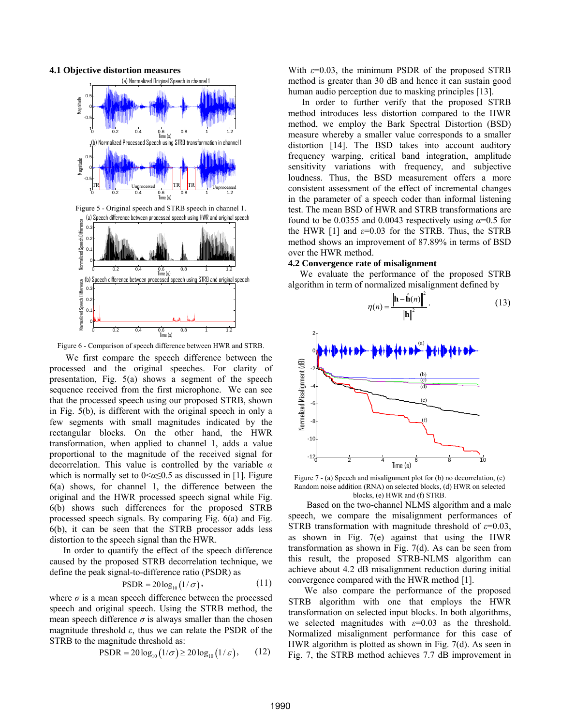



Figure 6 - Comparison of speech difference between HWR and STRB.

 We first compare the speech difference between the processed and the original speeches. For clarity of presentation, Fig. 5(a) shows a segment of the speech sequence received from the first microphone. We can see that the processed speech using our proposed STRB, shown in Fig. 5(b), is different with the original speech in only a few segments with small magnitudes indicated by the rectangular blocks. On the other hand, the HWR transformation, when applied to channel 1, adds a value proportional to the magnitude of the received signal for decorrelation. This value is controlled by the variable *α* which is normally set to  $0 \le \alpha \le 0.5$  as discussed in [1]. Figure 6(a) shows, for channel 1, the difference between the original and the HWR processed speech signal while Fig. 6(b) shows such differences for the proposed STRB processed speech signals. By comparing Fig. 6(a) and Fig. 6(b), it can be seen that the STRB processor adds less distortion to the speech signal than the HWR.

 In order to quantify the effect of the speech difference caused by the proposed STRB decorrelation technique, we define the peak signal-to-difference ratio (PSDR) as

$$
\text{PSDR} = 20 \log_{10} \left( 1/\sigma \right),\tag{11}
$$

where  $\sigma$  is a mean speech difference between the processed speech and original speech. Using the STRB method, the mean speech difference  $\sigma$  is always smaller than the chosen magnitude threshold *ε*, thus we can relate the PSDR of the STRB to the magnitude threshold as:

$$
PSDR = 20 \log_{10} (1/\sigma) \ge 20 \log_{10} (1/\varepsilon), \qquad (12)
$$

With *ε*=0.03, the minimum PSDR of the proposed STRB method is greater than 30 dB and hence it can sustain good human audio perception due to masking principles [13].

 In order to further verify that the proposed STRB method introduces less distortion compared to the HWR method, we employ the Bark Spectral Distortion (BSD) measure whereby a smaller value corresponds to a smaller distortion [14]. The BSD takes into account auditory frequency warping, critical band integration, amplitude sensitivity variations with frequency, and subjective loudness. Thus, the BSD measurement offers a more consistent assessment of the effect of incremental changes in the parameter of a speech coder than informal listening test. The mean BSD of HWR and STRB transformations are found to be 0.0355 and 0.0043 respectively using  $\alpha$ =0.5 for the HWR [1] and  $\varepsilon$ =0.03 for the STRB. Thus, the STRB method shows an improvement of 87.89% in terms of BSD over the HWR method.

#### **4.2 Convergence rate of misalignment**

 We evaluate the performance of the proposed STRB algorithm in term of normalized misalignment defined by

$$
\eta(n) = \frac{\left\|\mathbf{h} - \hat{\mathbf{h}}(n)\right\|^2}{\|\mathbf{h}\|^2}.
$$
\n(13)



Figure 7 - (a) Speech and misalignment plot for (b) no decorrelation, (c) Random noise addition (RNA) on selected blocks, (d) HWR on selected blocks, (e) HWR and (f) STRB.

 Based on the two-channel NLMS algorithm and a male speech, we compare the misalignment performances of STRB transformation with magnitude threshold of *ε*=0.03, as shown in Fig. 7(e) against that using the HWR transformation as shown in Fig. 7(d). As can be seen from this result, the proposed STRB-NLMS algorithm can achieve about 4.2 dB misalignment reduction during initial convergence compared with the HWR method [1].

 We also compare the performance of the proposed STRB algorithm with one that employs the HWR transformation on selected input blocks. In both algorithms, we selected magnitudes with  $\varepsilon$ =0.03 as the threshold. Normalized misalignment performance for this case of HWR algorithm is plotted as shown in Fig. 7(d). As seen in Fig. 7, the STRB method achieves 7.7 dB improvement in